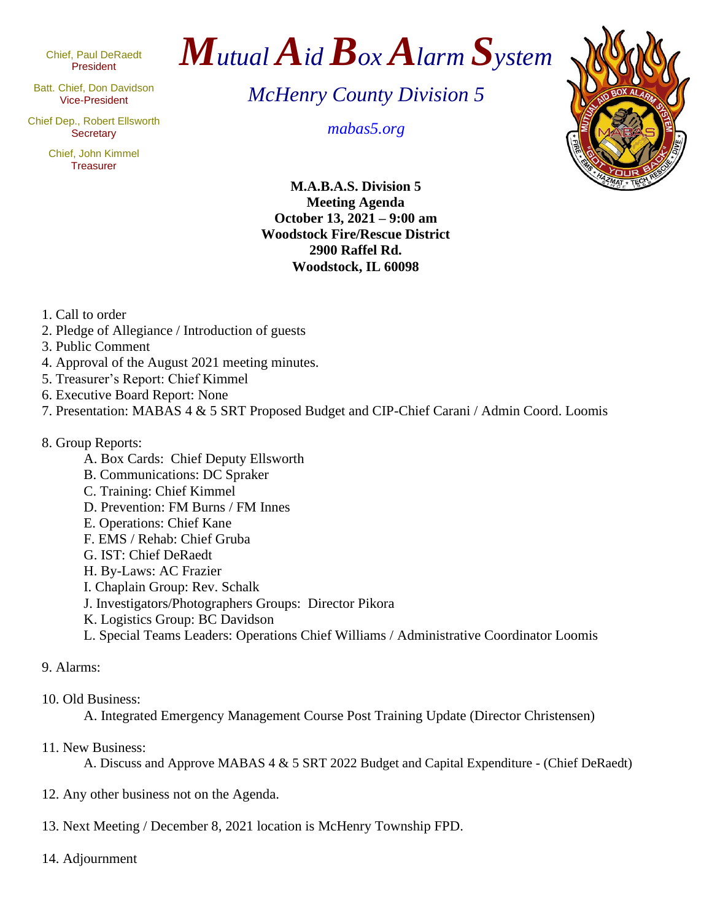Chief, Paul DeRaedt

Batt. Chief, Don Davidson

Chief Dep., Robert Ellsworth p., Robert Elisworth<br>Secretary *mabas5.org* 

Chief, John Kimmel **Treasurer** 



Vice-President *McHenry County Division 5*



**M.A.B.A.S. Division 5 Meeting Agenda October 13, 2021 – 9:00 am Woodstock Fire/Rescue District 2900 Raffel Rd. Woodstock, IL 60098**

1. Call to order

- 2. Pledge of Allegiance / Introduction of guests
- 3. Public Comment
- 4. Approval of the August 2021 meeting minutes.
- 5. Treasurer's Report: Chief Kimmel
- 6. Executive Board Report: None
- 7. Presentation: MABAS 4 & 5 SRT Proposed Budget and CIP-Chief Carani / Admin Coord. Loomis

### 8. Group Reports:

- A. Box Cards: Chief Deputy Ellsworth
- B. Communications: DC Spraker
- C. Training: Chief Kimmel
- D. Prevention: FM Burns / FM Innes
- E. Operations: Chief Kane
- F. EMS / Rehab: Chief Gruba
- G. IST: Chief DeRaedt
- H. By-Laws: AC Frazier
- I. Chaplain Group: Rev. Schalk
- J. Investigators/Photographers Groups: Director Pikora
- K. Logistics Group: BC Davidson
- L. Special Teams Leaders: Operations Chief Williams / Administrative Coordinator Loomis

# 9. Alarms:

## 10. Old Business:

A. Integrated Emergency Management Course Post Training Update (Director Christensen)

11. New Business:

A. Discuss and Approve MABAS 4 & 5 SRT 2022 Budget and Capital Expenditure - (Chief DeRaedt)

- 12. Any other business not on the Agenda.
- 13. Next Meeting / December 8, 2021 location is McHenry Township FPD.
- 14. Adjournment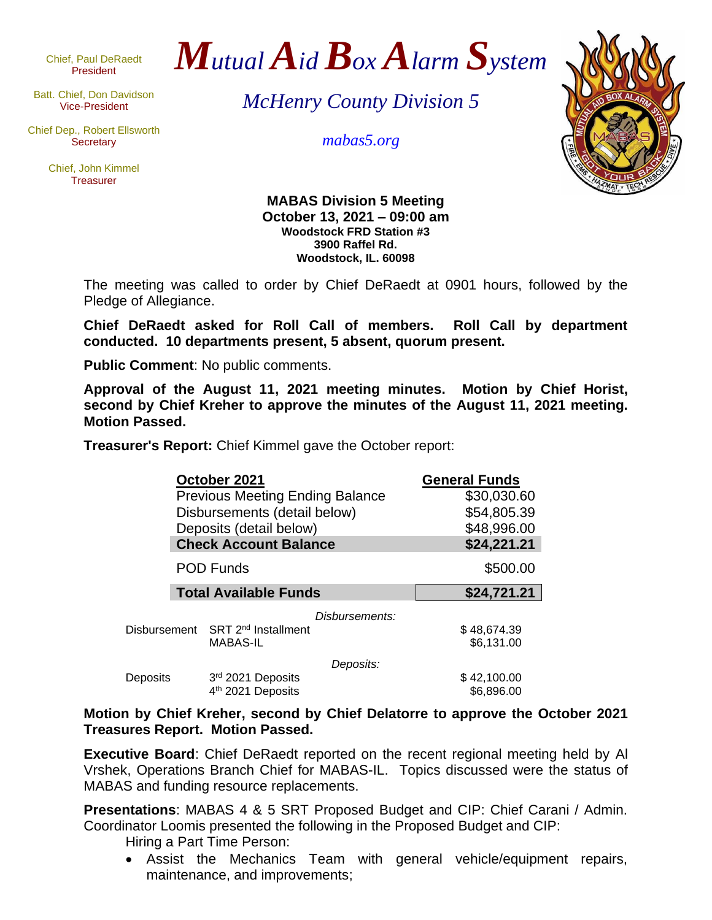Chief, Paul DeRaedt

Batt. Chief, Don Davidson

Chief Dep., Robert Ellsworth Secretary *mabas5.org*

Chief, John Kimmel **Treasurer** 



Vice-President *McHenry County Division 5*



**MABAS Division 5 Meeting October 13, 2021 – 09:00 am Woodstock FRD Station #3 3900 Raffel Rd. Woodstock, IL. 60098**

The meeting was called to order by Chief DeRaedt at 0901 hours, followed by the Pledge of Allegiance.

**Chief DeRaedt asked for Roll Call of members. Roll Call by department conducted. 10 departments present, 5 absent, quorum present.** 

**Public Comment**: No public comments.

**Approval of the August 11, 2021 meeting minutes. Motion by Chief Horist, second by Chief Kreher to approve the minutes of the August 11, 2021 meeting. Motion Passed.**

**Treasurer's Report:** Chief Kimmel gave the October report:

|                     | October 2021                           | <b>General Funds</b> |
|---------------------|----------------------------------------|----------------------|
|                     | <b>Previous Meeting Ending Balance</b> | \$30,030.60          |
|                     | Disbursements (detail below)           | \$54,805.39          |
|                     | Deposits (detail below)                | \$48,996.00          |
|                     | <b>Check Account Balance</b>           | \$24,221.21          |
|                     | <b>POD Funds</b>                       | \$500.00             |
|                     | <b>Total Available Funds</b>           | \$24,721.21          |
|                     | Disbursements:                         |                      |
| <b>Disbursement</b> | SRT 2 <sup>nd</sup> Installment        | \$48,674.39          |
|                     | <b>MABAS-IL</b>                        | \$6,131.00           |
|                     | Deposits:                              |                      |
| Deposits            | 3rd 2021 Deposits                      | \$42,100.00          |
|                     | 4 <sup>th</sup> 2021 Deposits          | \$6,896.00           |

**Motion by Chief Kreher, second by Chief Delatorre to approve the October 2021 Treasures Report. Motion Passed.**

**Executive Board**: Chief DeRaedt reported on the recent regional meeting held by Al Vrshek, Operations Branch Chief for MABAS-IL. Topics discussed were the status of MABAS and funding resource replacements.

**Presentations**: MABAS 4 & 5 SRT Proposed Budget and CIP: Chief Carani / Admin. Coordinator Loomis presented the following in the Proposed Budget and CIP:

Hiring a Part Time Person:

• Assist the Mechanics Team with general vehicle/equipment repairs, maintenance, and improvements;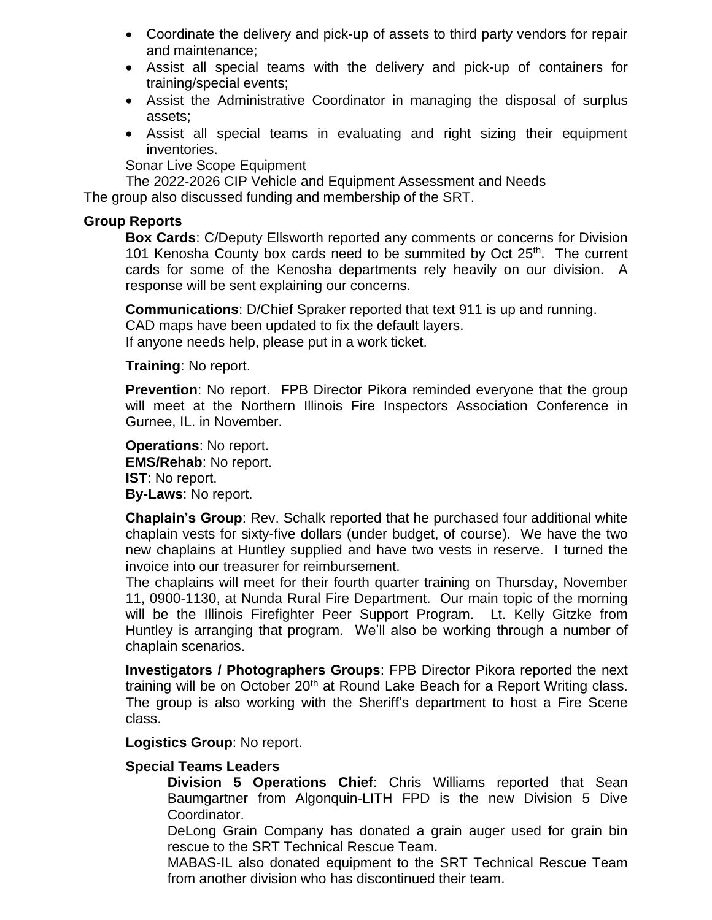- Coordinate the delivery and pick-up of assets to third party vendors for repair and maintenance;
- Assist all special teams with the delivery and pick-up of containers for training/special events;
- Assist the Administrative Coordinator in managing the disposal of surplus assets;
- Assist all special teams in evaluating and right sizing their equipment inventories.

Sonar Live Scope Equipment

The 2022-2026 CIP Vehicle and Equipment Assessment and Needs The group also discussed funding and membership of the SRT.

# **Group Reports**

**Box Cards**: C/Deputy Ellsworth reported any comments or concerns for Division 101 Kenosha County box cards need to be summited by Oct 25<sup>th</sup>. The current cards for some of the Kenosha departments rely heavily on our division. A response will be sent explaining our concerns.

**Communications**: D/Chief Spraker reported that text 911 is up and running. CAD maps have been updated to fix the default layers. If anyone needs help, please put in a work ticket.

### **Training**: No report.

**Prevention**: No report. FPB Director Pikora reminded everyone that the group will meet at the Northern Illinois Fire Inspectors Association Conference in Gurnee, IL. in November.

**Operations**: No report. **EMS/Rehab**: No report. **IST**: No report. **By-Laws**: No report.

**Chaplain's Group**: Rev. Schalk reported that he purchased four additional white chaplain vests for sixty-five dollars (under budget, of course). We have the two new chaplains at Huntley supplied and have two vests in reserve. I turned the invoice into our treasurer for reimbursement.

The chaplains will meet for their fourth quarter training on Thursday, November 11, 0900-1130, at Nunda Rural Fire Department. Our main topic of the morning will be the Illinois Firefighter Peer Support Program. Lt. Kelly Gitzke from Huntley is arranging that program. We'll also be working through a number of chaplain scenarios.

**Investigators / Photographers Groups**: FPB Director Pikora reported the next training will be on October 20<sup>th</sup> at Round Lake Beach for a Report Writing class. The group is also working with the Sheriff's department to host a Fire Scene class.

#### **Logistics Group**: No report.

## **Special Teams Leaders**

**Division 5 Operations Chief**: Chris Williams reported that Sean Baumgartner from Algonquin-LITH FPD is the new Division 5 Dive Coordinator.

DeLong Grain Company has donated a grain auger used for grain bin rescue to the SRT Technical Rescue Team.

MABAS-IL also donated equipment to the SRT Technical Rescue Team from another division who has discontinued their team.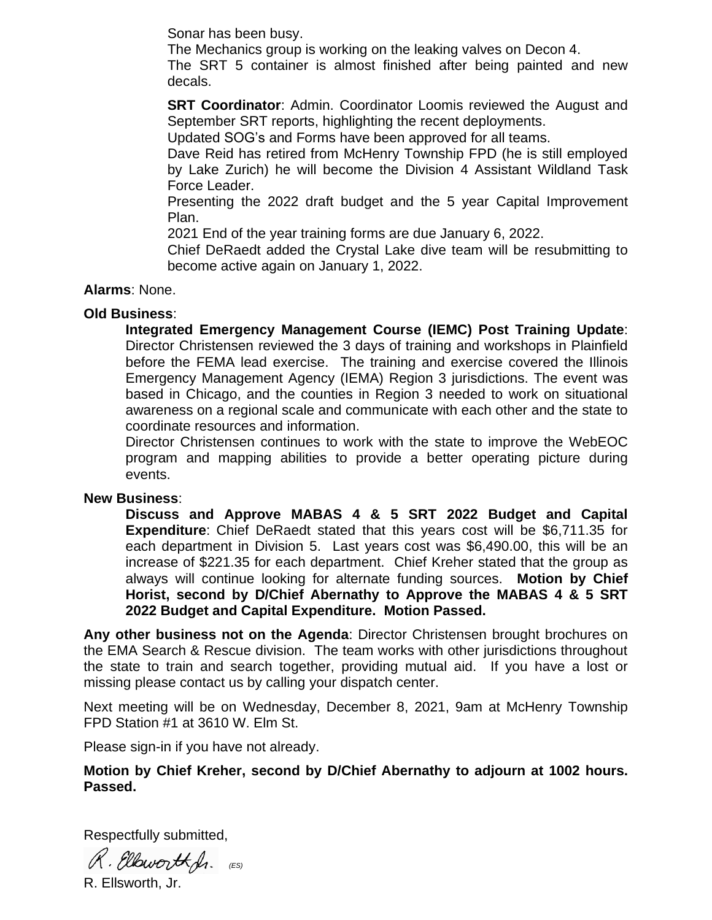Sonar has been busy.

The Mechanics group is working on the leaking valves on Decon 4.

The SRT 5 container is almost finished after being painted and new decals.

**SRT Coordinator:** Admin. Coordinator Loomis reviewed the August and September SRT reports, highlighting the recent deployments.

Updated SOG's and Forms have been approved for all teams.

Dave Reid has retired from McHenry Township FPD (he is still employed by Lake Zurich) he will become the Division 4 Assistant Wildland Task Force Leader.

Presenting the 2022 draft budget and the 5 year Capital Improvement Plan.

2021 End of the year training forms are due January 6, 2022.

Chief DeRaedt added the Crystal Lake dive team will be resubmitting to become active again on January 1, 2022.

#### **Alarms**: None.

#### **Old Business**:

**Integrated Emergency Management Course (IEMC) Post Training Update**: Director Christensen reviewed the 3 days of training and workshops in Plainfield before the FEMA lead exercise. The training and exercise covered the Illinois Emergency Management Agency (IEMA) Region 3 jurisdictions. The event was based in Chicago, and the counties in Region 3 needed to work on situational awareness on a regional scale and communicate with each other and the state to coordinate resources and information.

Director Christensen continues to work with the state to improve the WebEOC program and mapping abilities to provide a better operating picture during events.

#### **New Business**:

**Discuss and Approve MABAS 4 & 5 SRT 2022 Budget and Capital Expenditure**: Chief DeRaedt stated that this years cost will be \$6,711.35 for each department in Division 5. Last years cost was \$6,490.00, this will be an increase of \$221.35 for each department. Chief Kreher stated that the group as always will continue looking for alternate funding sources. **Motion by Chief Horist, second by D/Chief Abernathy to Approve the MABAS 4 & 5 SRT 2022 Budget and Capital Expenditure. Motion Passed.**

**Any other business not on the Agenda**: Director Christensen brought brochures on the EMA Search & Rescue division. The team works with other jurisdictions throughout the state to train and search together, providing mutual aid. If you have a lost or missing please contact us by calling your dispatch center.

Next meeting will be on Wednesday, December 8, 2021, 9am at McHenry Township FPD Station #1 at 3610 W. Elm St.

Please sign-in if you have not already.

**Motion by Chief Kreher, second by D/Chief Abernathy to adjourn at 1002 hours. Passed.**

Respectfully submitted,

R. Elkworth fr. (ES)

R. Ellsworth, Jr.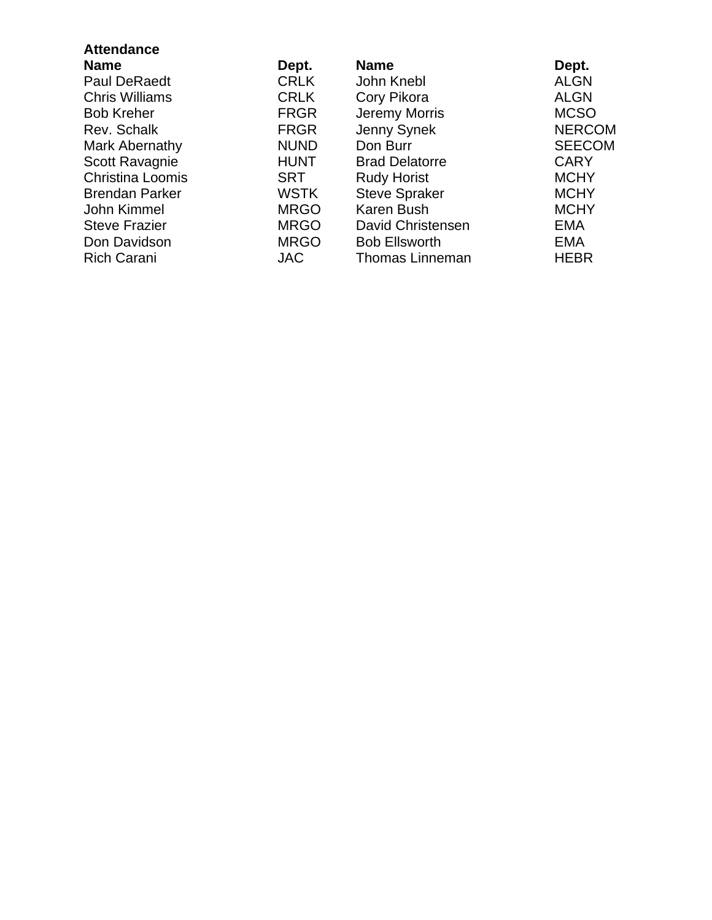| <b>Attendance</b> |  |
|-------------------|--|
| Nloma             |  |

| <b>Name</b>             | Dept.       | <b>Name</b>            | Dept.         |
|-------------------------|-------------|------------------------|---------------|
| <b>Paul DeRaedt</b>     | <b>CRLK</b> | John Knebl             | <b>ALGN</b>   |
| <b>Chris Williams</b>   | <b>CRLK</b> | Cory Pikora            | <b>ALGN</b>   |
| <b>Bob Kreher</b>       | <b>FRGR</b> | Jeremy Morris          | <b>MCSO</b>   |
| Rev. Schalk             | <b>FRGR</b> | Jenny Synek            | <b>NERCOM</b> |
| Mark Abernathy          | <b>NUND</b> | Don Burr               | <b>SEECOM</b> |
| Scott Ravagnie          | <b>HUNT</b> | <b>Brad Delatorre</b>  | <b>CARY</b>   |
| <b>Christina Loomis</b> | <b>SRT</b>  | <b>Rudy Horist</b>     | <b>MCHY</b>   |
| <b>Brendan Parker</b>   | <b>WSTK</b> | <b>Steve Spraker</b>   | <b>MCHY</b>   |
| John Kimmel             | <b>MRGO</b> | Karen Bush             | <b>MCHY</b>   |
| <b>Steve Frazier</b>    | <b>MRGO</b> | David Christensen      | <b>EMA</b>    |
| Don Davidson            | <b>MRGO</b> | <b>Bob Ellsworth</b>   | <b>EMA</b>    |
| <b>Rich Carani</b>      | <b>JAC</b>  | <b>Thomas Linneman</b> | <b>HEBR</b>   |